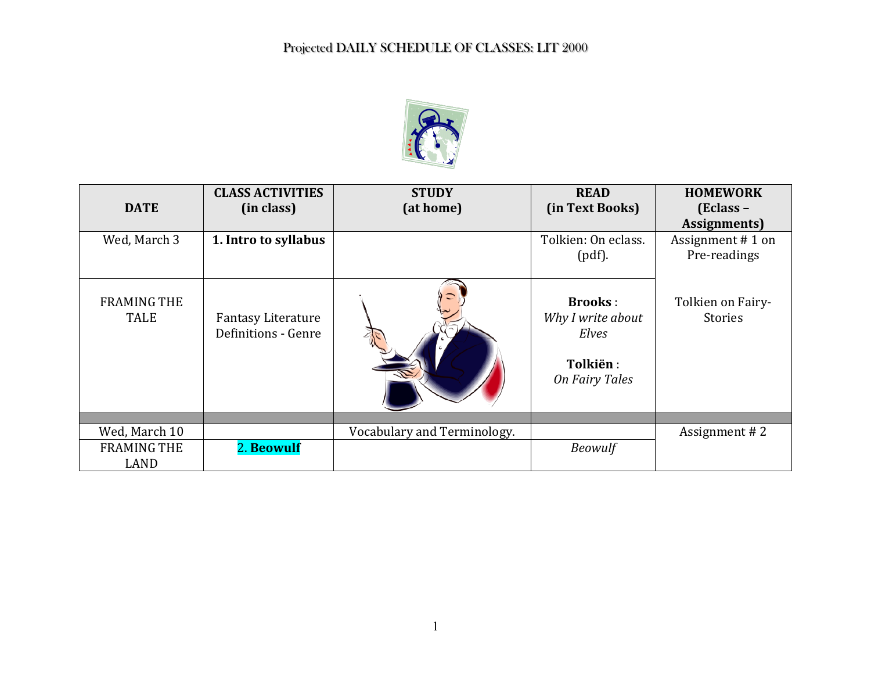

| <b>DATE</b>                       | <b>CLASS ACTIVITIES</b><br>(in class)            | <b>STUDY</b><br>(at home)   | <b>READ</b><br>(in Text Books)                                                    | <b>HOMEWORK</b><br>(Eclass -<br>Assignments) |
|-----------------------------------|--------------------------------------------------|-----------------------------|-----------------------------------------------------------------------------------|----------------------------------------------|
| Wed, March 3                      | 1. Intro to syllabus                             |                             | Tolkien: On eclass.<br>$(pdf)$ .                                                  | Assignment #1 on<br>Pre-readings             |
| <b>FRAMING THE</b><br><b>TALE</b> | <b>Fantasy Literature</b><br>Definitions - Genre |                             | <b>Brooks:</b><br>Why I write about<br>Elves<br>Tolkiën:<br><b>On Fairy Tales</b> | Tolkien on Fairy-<br><b>Stories</b>          |
|                                   |                                                  |                             |                                                                                   |                                              |
| Wed, March 10                     |                                                  | Vocabulary and Terminology. |                                                                                   | Assignment #2                                |
| <b>FRAMING THE</b><br>LAND        | 2. Beowulf                                       |                             | <b>Beowulf</b>                                                                    |                                              |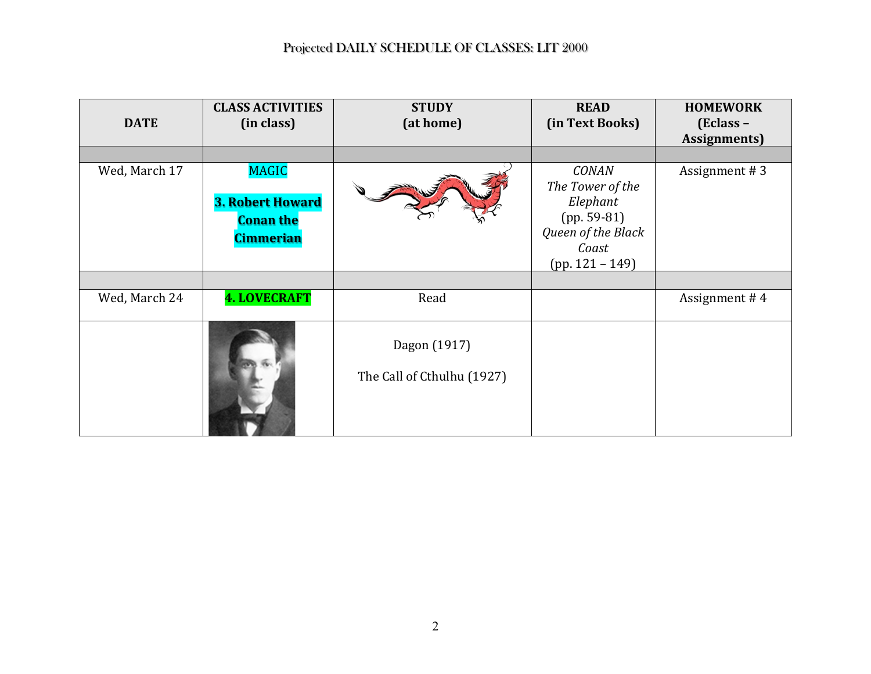| <b>DATE</b>   | <b>CLASS ACTIVITIES</b><br>(in class)                                           | <b>STUDY</b><br>(at home)                  | <b>READ</b><br>(in Text Books)                                                                                    | <b>HOMEWORK</b><br>$\mathbf{[Eclass -}%$<br><b>Assignments</b> ) |
|---------------|---------------------------------------------------------------------------------|--------------------------------------------|-------------------------------------------------------------------------------------------------------------------|------------------------------------------------------------------|
| Wed, March 17 | <b>MAGIC</b><br><b>3. Robert Howard</b><br><b>Conan the</b><br><b>Cimmerian</b> |                                            | <b>CONAN</b><br>The Tower of the<br>Elephant<br>$(pp. 59-81)$<br>Queen of the Black<br>Coast<br>$(pp. 121 - 149)$ | Assignment #3                                                    |
|               |                                                                                 |                                            |                                                                                                                   |                                                                  |
| Wed, March 24 | <b>4. LOVECRAFT</b>                                                             | Read                                       |                                                                                                                   | Assignment #4                                                    |
|               |                                                                                 | Dagon (1917)<br>The Call of Cthulhu (1927) |                                                                                                                   |                                                                  |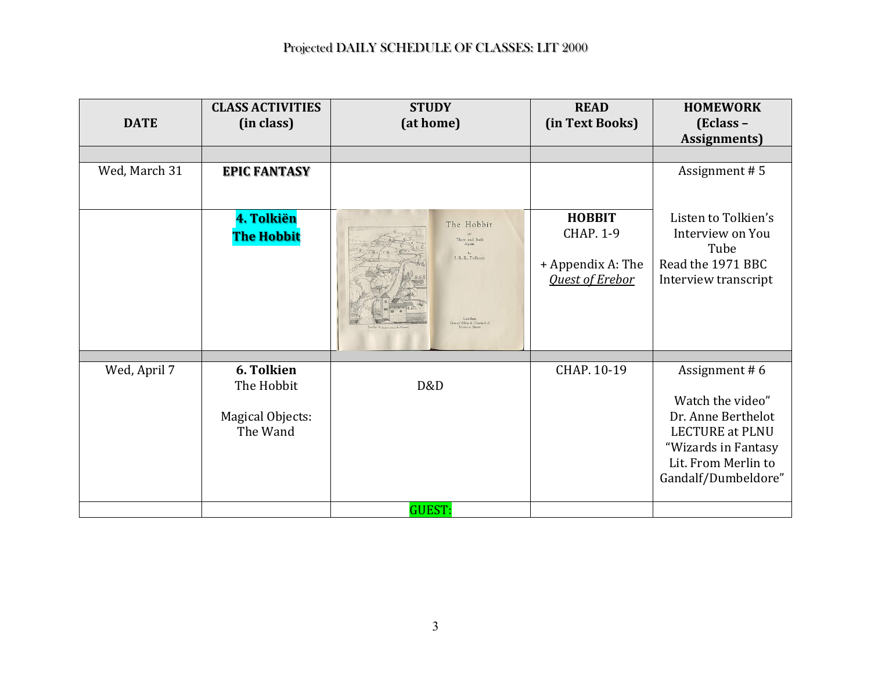| <b>DATE</b>   | <b>CLASS ACTIVITIES</b><br>(in class)                    | <b>STUDY</b><br>(at home)                                                     | <b>READ</b><br>(in Text Books)                                                   | <b>HOMEWORK</b><br>(Eclass -<br><b>Assignments</b> )                                                                                                   |
|---------------|----------------------------------------------------------|-------------------------------------------------------------------------------|----------------------------------------------------------------------------------|--------------------------------------------------------------------------------------------------------------------------------------------------------|
|               |                                                          |                                                                               |                                                                                  |                                                                                                                                                        |
| Wed, March 31 | <b>EPIC FANTASY</b>                                      |                                                                               |                                                                                  | Assignment #5                                                                                                                                          |
|               | 4. Tolkiën<br><b>The Hobbit</b>                          | The Hobbit<br>There and Back<br>Again<br>J. R. R. Tolkien<br>Allen & Unwin La | <b>HOBBIT</b><br><b>CHAP. 1-9</b><br>+ Appendix A: The<br><b>Quest of Erebor</b> | Listen to Tolkien's<br>Interview on You<br>Tube<br>Read the 1971 BBC<br>Interview transcript                                                           |
|               |                                                          |                                                                               |                                                                                  |                                                                                                                                                        |
| Wed, April 7  | 6. Tolkien<br>The Hobbit<br>Magical Objects:<br>The Wand | D&D                                                                           | CHAP. 10-19                                                                      | Assignment #6<br>Watch the video"<br>Dr. Anne Berthelot<br><b>LECTURE at PLNU</b><br>"Wizards in Fantasy<br>Lit. From Merlin to<br>Gandalf/Dumbeldore" |
|               |                                                          | <b>GUEST:</b>                                                                 |                                                                                  |                                                                                                                                                        |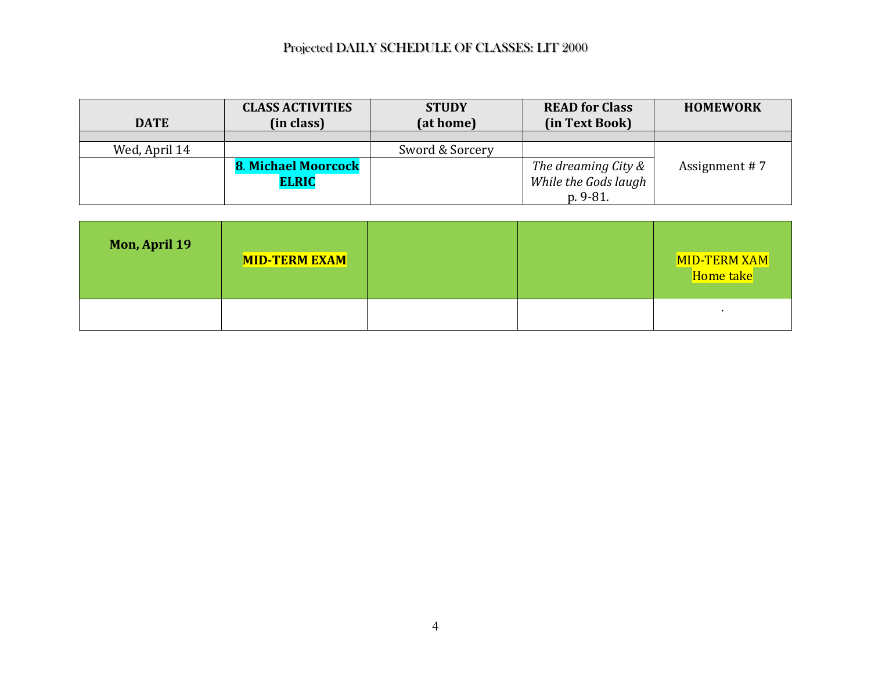| <b>DATE</b>   | <b>CLASS ACTIVITIES</b><br>(in class) | <b>STUDY</b><br>(at home) | <b>READ for Class</b><br>(in Text Book) | <b>HOMEWORK</b> |
|---------------|---------------------------------------|---------------------------|-----------------------------------------|-----------------|
|               |                                       |                           |                                         |                 |
| Wed, April 14 |                                       | Sword & Sorcery           |                                         |                 |
|               | <b>8. Michael Moorcock</b>            |                           | The dreaming City &                     | Assignment #7   |
|               | <b>ELRIC</b>                          |                           | While the Gods laugh                    |                 |
|               |                                       |                           | $p.9-81.$                               |                 |

| <b>Mon, April 19</b> | <b>MID-TERM EXAM</b> |  | MID-TERM XAM<br>Home take |
|----------------------|----------------------|--|---------------------------|
|                      |                      |  |                           |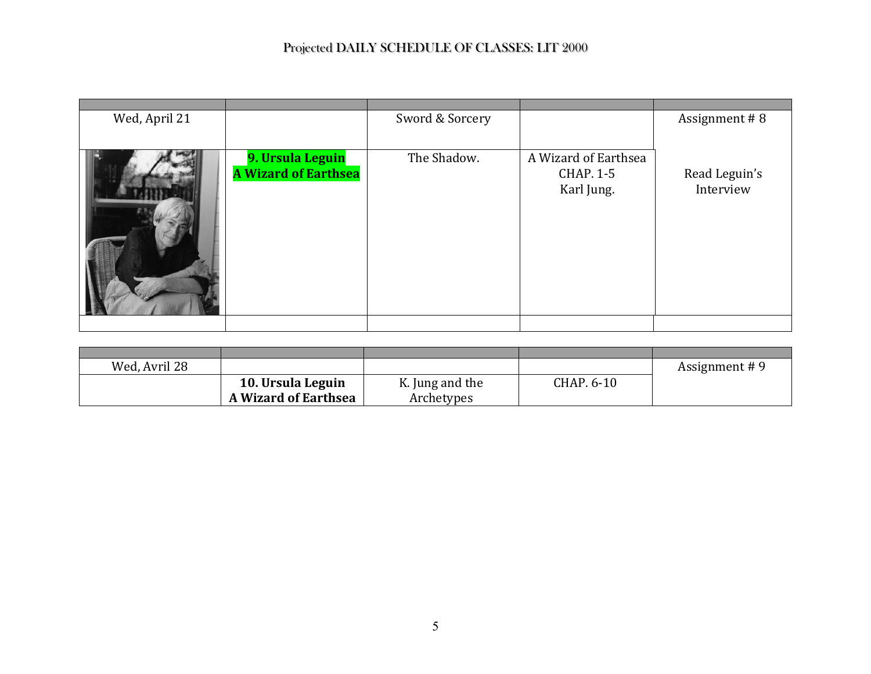| Wed, April 21 |                                                 | Sword & Sorcery |                                                        | Assignment #8              |
|---------------|-------------------------------------------------|-----------------|--------------------------------------------------------|----------------------------|
|               | 9. Ursula Leguin<br><b>A Wizard of Earthsea</b> | The Shadow.     | A Wizard of Earthsea<br><b>CHAP. 1-5</b><br>Karl Jung. | Read Leguin's<br>Interview |
|               |                                                 |                 |                                                        |                            |

| Wed, Avril 28 |                             |                 |            | Assignment #9 |
|---------------|-----------------------------|-----------------|------------|---------------|
|               | 10. Ursula Leguin           | K. Jung and the | CHAP. 6-10 |               |
|               | <b>A Wizard of Earthsea</b> | Archetypes      |            |               |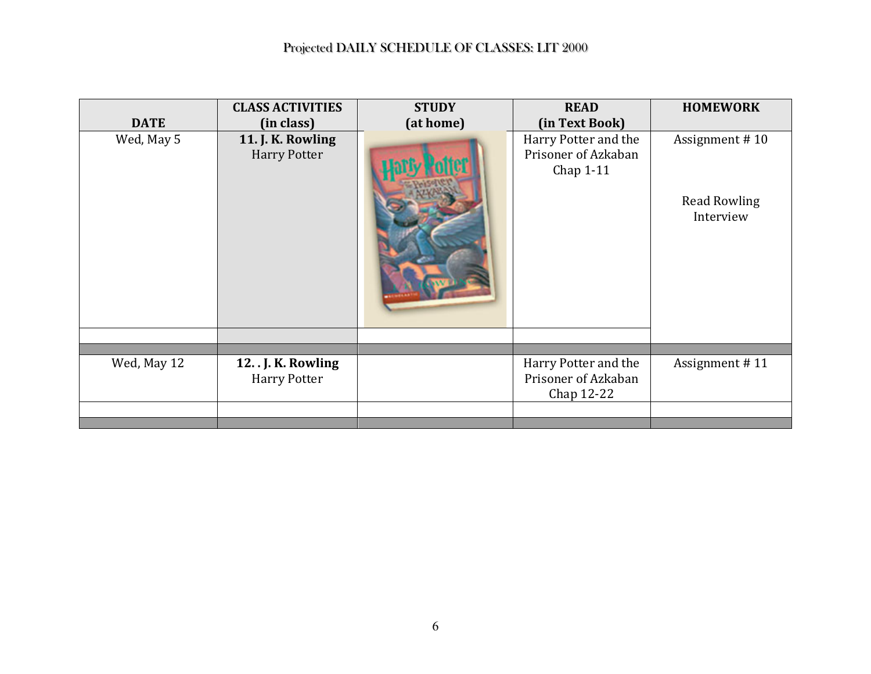|             | <b>CLASS ACTIVITIES</b>                    | <b>STUDY</b> | <b>READ</b>                                               | <b>HOMEWORK</b>                                    |
|-------------|--------------------------------------------|--------------|-----------------------------------------------------------|----------------------------------------------------|
| <b>DATE</b> | (in class)                                 | (at home)    | (in Text Book)                                            |                                                    |
| Wed, May 5  | 11. J. K. Rowling<br><b>Harry Potter</b>   |              | Harry Potter and the<br>Prisoner of Azkaban<br>Chap 1-11  | Assignment #10<br><b>Read Rowling</b><br>Interview |
|             |                                            |              |                                                           |                                                    |
| Wed, May 12 | 12. . J. K. Rowling<br><b>Harry Potter</b> |              | Harry Potter and the<br>Prisoner of Azkaban<br>Chap 12-22 | Assignment #11                                     |
|             |                                            |              |                                                           |                                                    |